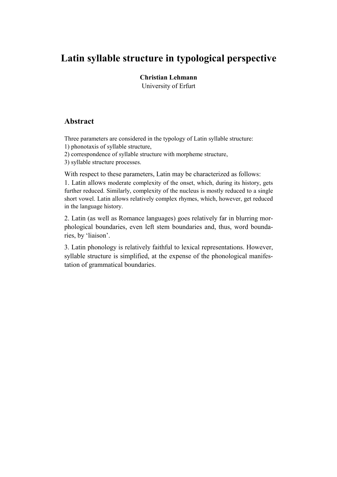# **Latin syllable structure in typological perspective**

# **Christian Lehmann**

University of Erfurt

# **Abstract**

Three parameters are considered in the typology of Latin syllable structure:

1) phonotaxis of syllable structure,

2) correspondence of syllable structure with morpheme structure,

3) syllable structure processes.

With respect to these parameters, Latin may be characterized as follows:

1. Latin allows moderate complexity of the onset, which, during its history, gets further reduced. Similarly, complexity of the nucleus is mostly reduced to a single short vowel. Latin allows relatively complex rhymes, which, however, get reduced in the language history.

2. Latin (as well as Romance languages) goes relatively far in blurring morphological boundaries, even left stem boundaries and, thus, word boundaries, by 'liaison'.

3. Latin phonology is relatively faithful to lexical representations. However, syllable structure is simplified, at the expense of the phonological manifestation of grammatical boundaries.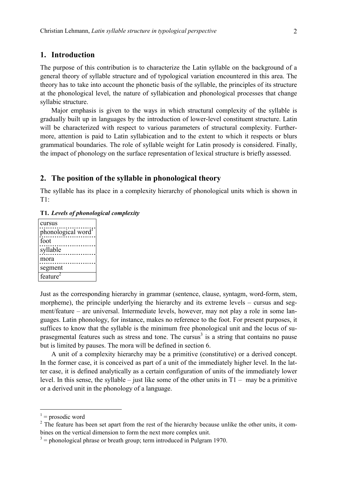## **1. Introduction**

The purpose of this contribution is to characterize the Latin syllable on the background of a general theory of syllable structure and of typological variation encountered in this area. The theory has to take into account the phonetic basis of the syllable, the principles of its structure at the phonological level, the nature of syllabication and phonological processes that change syllabic structure.

Major emphasis is given to the ways in which structural complexity of the syllable is gradually built up in languages by the introduction of lower-level constituent structure. Latin will be characterized with respect to various parameters of structural complexity. Furthermore, attention is paid to Latin syllabication and to the extent to which it respects or blurs grammatical boundaries. The role of syllable weight for Latin prosody is considered. Finally, the impact of phonology on the surface representation of lexical structure is briefly assessed.

# **2. The position of the syllable in phonological theory**

The syllable has its place in a complexity hierarchy of phonological units which is shown in T1:

## **T1.** *Levels of phonological complexity*

| cursus                         |
|--------------------------------|
| phonological word <sup>1</sup> |
| foot                           |
| syllable                       |
| mora                           |
| segment                        |
| feature <sup>2</sup>           |

Just as the corresponding hierarchy in grammar (sentence, clause, syntagm, word-form, stem, morpheme), the principle underlying the hierarchy and its extreme levels – cursus and segment/feature – are universal. Intermediate levels, however, may not play a role in some languages. Latin phonology, for instance, makes no reference to the foot. For present purposes, it suffices to know that the syllable is the minimum free phonological unit and the locus of suprasegmental features such as stress and tone. The cursus<sup>3</sup> is a string that contains no pause but is limited by pauses. The mora will be defined in section 6.

A unit of a complexity hierarchy may be a primitive (constitutive) or a derived concept. In the former case, it is conceived as part of a unit of the immediately higher level. In the latter case, it is defined analytically as a certain configuration of units of the immediately lower level. In this sense, the syllable – just like some of the other units in  $T1 -$  may be a primitive or a derived unit in the phonology of a language.

 $\overline{a}$ 

 $1$  = prosodic word

 $2^2$  The feature has been set apart from the rest of the hierarchy because unlike the other units, it combines on the vertical dimension to form the next more complex unit.

 $3$  = phonological phrase or breath group; term introduced in Pulgram 1970.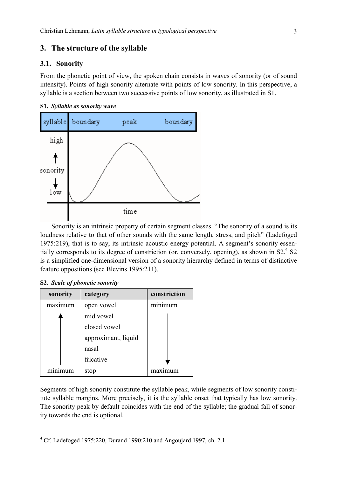# **3. The structure of the syllable**

#### **3.1. Sonority**

From the phonetic point of view, the spoken chain consists in waves of sonority (or of sound intensity). Points of high sonority alternate with points of low sonority. In this perspective, a syllable is a section between two successive points of low sonority, as illustrated in S1.

#### **S1.** *Syllable as sonority wave*



Sonority is an intrinsic property of certain segment classes. "The sonority of a sound is its loudness relative to that of other sounds with the same length, stress, and pitch" (Ladefoged 1975:219), that is to say, its intrinsic acoustic energy potential. A segment's sonority essentially corresponds to its degree of constriction (or, conversely, opening), as shown in  $S2<sup>4</sup> S2$ is a simplified one-dimensional version of a sonority hierarchy defined in terms of distinctive feature oppositions (see Blevins 1995:211).

## **S2.** *Scale of phonetic sonority*

 $\overline{a}$ 

| sonority | category            | constriction |  |
|----------|---------------------|--------------|--|
| maximum  | open vowel          | minimum      |  |
|          | mid vowel           |              |  |
|          | closed vowel        |              |  |
|          | approximant, liquid |              |  |
|          | nasal               |              |  |
|          | fricative           |              |  |
|          | stop                | maxı         |  |

Segments of high sonority constitute the syllable peak, while segments of low sonority constitute syllable margins. More precisely, it is the syllable onset that typically has low sonority. The sonority peak by default coincides with the end of the syllable; the gradual fall of sonority towards the end is optional.

<sup>4</sup> Cf. Ladefoged 1975:220, Durand 1990:210 and Angoujard 1997, ch. 2.1.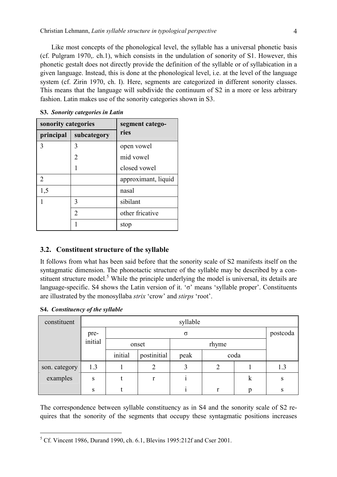Like most concepts of the phonological level, the syllable has a universal phonetic basis (cf. Pulgram 1970,. ch.1), which consists in the undulation of sonority of S1. However, this phonetic gestalt does not directly provide the definition of the syllable or of syllabication in a given language. Instead, this is done at the phonological level, i.e. at the level of the language system (cf. Zirin 1970, ch. I). Here, segments are categorized in different sonority classes. This means that the language will subdivide the continuum of S2 in a more or less arbitrary fashion. Latin makes use of the sonority categories shown in S3.

| sonority categories |                | segment catego-     |
|---------------------|----------------|---------------------|
| principal           | subcategory    | ries                |
| 3                   | 3              | open vowel          |
|                     | $\mathfrak{D}$ | mid vowel           |
|                     | 1              | closed vowel        |
| 2                   |                | approximant, liquid |
| 1,5                 |                | nasal               |
|                     | 3              | sibilant            |
|                     | $\overline{2}$ | other fricative     |
|                     |                | stop                |

**S3.** *Sonority categories in Latin* 

# **3.2. Constituent structure of the syllable**

It follows from what has been said before that the sonority scale of S2 manifests itself on the syntagmatic dimension. The phonotactic structure of the syllable may be described by a constituent structure model.<sup>5</sup> While the principle underlying the model is universal, its details are language-specific. S4 shows the Latin version of it. 'σ' means 'syllable proper'. Constituents are illustrated by the monosyllaba *strix* 'crow' and *stirps* 'root'.

| constituent   |         | syllable |             |              |  |  |     |  |  |
|---------------|---------|----------|-------------|--------------|--|--|-----|--|--|
|               | pre-    |          | σ           |              |  |  |     |  |  |
|               | initial | onset    |             |              |  |  |     |  |  |
|               |         | initial  | postinitial | peak<br>coda |  |  |     |  |  |
| son. category | 1.3     |          |             |              |  |  | 1.3 |  |  |
| examples      | S       |          |             |              |  |  | S   |  |  |
|               | S       |          |             |              |  |  |     |  |  |

**S4.** *Constituency of the syllable* 

 $\overline{a}$ 

The correspondence between syllable constituency as in S4 and the sonority scale of S2 requires that the sonority of the segments that occupy these syntagmatic positions increases

 $<sup>5</sup>$  Cf. Vincent 1986, Durand 1990, ch. 6.1, Blevins 1995:212f and Cser 2001.</sup>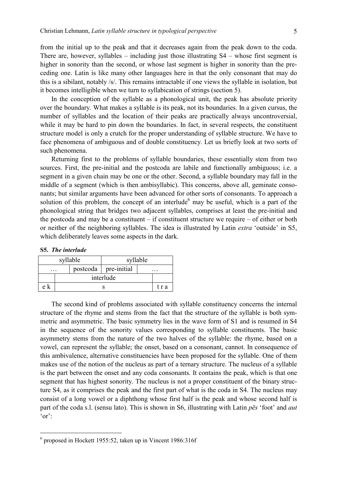from the initial up to the peak and that it decreases again from the peak down to the coda. There are, however, syllables – including just those illustrating  $S4$  – whose first segment is higher in sonority than the second, or whose last segment is higher in sonority than the preceding one. Latin is like many other languages here in that the only consonant that may do this is a sibilant, notably /s/. This remains intractable if one views the syllable in isolation, but it becomes intelligible when we turn to syllabication of strings (section 5).

In the conception of the syllable as a phonological unit, the peak has absolute priority over the boundary. What makes a syllable is its peak, not its boundaries. In a given cursus, the number of syllables and the location of their peaks are practically always uncontroversial, while it may be hard to pin down the boundaries. In fact, in several respects, the constituent structure model is only a crutch for the proper understanding of syllable structure. We have to face phenomena of ambiguous and of double constituency. Let us briefly look at two sorts of such phenomena.

Returning first to the problems of syllable boundaries, these essentially stem from two sources. First, the pre-initial and the postcoda are labile and functionally ambiguous; i.e. a segment in a given chain may be one or the other. Second, a syllable boundary may fall in the middle of a segment (which is then ambisyllabic). This concerns, above all, geminate consonants; but similar arguments have been advanced for other sorts of consonants. To approach a solution of this problem, the concept of an interlude<sup>6</sup> may be useful, which is a part of the phonological string that bridges two adjacent syllables, comprises at least the pre-initial and the postcoda and may be a constituent – if constituent structure we require – of either or both or neither of the neighboring syllables. The idea is illustrated by Latin *extra* 'outside' in S5, which deliberately leaves some aspects in the dark.

| syllable  |  |          |             | syllable |       |
|-----------|--|----------|-------------|----------|-------|
| .         |  | postcoda | pre-initial |          |       |
| interlude |  |          |             |          |       |
|           |  |          |             |          | t r a |

|  | <b>S5.</b> The interlude |  |
|--|--------------------------|--|
|  |                          |  |

 $\overline{a}$ 

The second kind of problems associated with syllable constituency concerns the internal structure of the rhyme and stems from the fact that the structure of the syllable is both symmetric and asymmetric. The basic symmetry lies in the wave form of S1 and is resumed in S4 in the sequence of the sonority values corresponding to syllable constituents. The basic asymmetry stems from the nature of the two halves of the syllable: the rhyme, based on a vowel, can represent the syllable; the onset, based on a consonant, cannot. In consequence of this ambivalence, alternative constituencies have been proposed for the syllable. One of them makes use of the notion of the nucleus as part of a ternary structure. The nucleus of a syllable is the part between the onset and any coda consonants. It contains the peak, which is that one segment that has highest sonority. The nucleus is not a proper constituent of the binary structure S4, as it comprises the peak and the first part of what is the coda in S4. The nucleus may consist of a long vowel or a diphthong whose first half is the peak and whose second half is part of the coda s.l. (sensu lato). This is shown in S6, illustrating with Latin *pēs* 'foot' and *aut* 'or':

<sup>6</sup> proposed in Hockett 1955:52, taken up in Vincent 1986:316f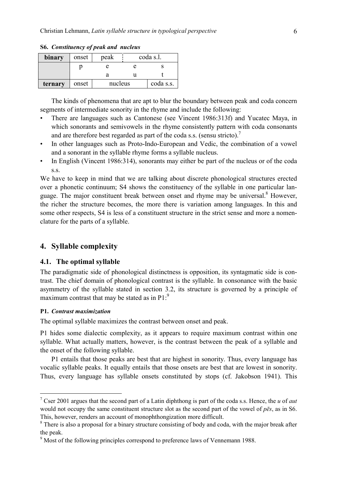| binary  | onset | peak    | coda s.l. |           |  |
|---------|-------|---------|-----------|-----------|--|
|         |       |         |           |           |  |
|         |       |         |           |           |  |
| ternary | onset | nucleus |           | coda s.s. |  |

**S6.** *Constituency of peak and nucleus* 

The kinds of phenomena that are apt to blur the boundary between peak and coda concern segments of intermediate sonority in the rhyme and include the following:

- There are languages such as Cantonese (see Vincent 1986:313f) and Yucatec Maya, in which sonorants and semivowels in the rhyme consistently pattern with coda consonants and are therefore best regarded as part of the coda s.s. (sensu stricto).<sup>7</sup>
- In other languages such as Proto-Indo-European and Vedic, the combination of a vowel and a sonorant in the syllable rhyme forms a syllable nucleus.
- In English (Vincent 1986:314), sonorants may either be part of the nucleus or of the coda s.s.

We have to keep in mind that we are talking about discrete phonological structures erected over a phonetic continuum; S4 shows the constituency of the syllable in one particular language. The major constituent break between onset and rhyme may be universal.<sup>8</sup> However, the richer the structure becomes, the more there is variation among languages. In this and some other respects, S4 is less of a constituent structure in the strict sense and more a nomenclature for the parts of a syllable.

# **4. Syllable complexity**

#### **4.1. The optimal syllable**

The paradigmatic side of phonological distinctness is opposition, its syntagmatic side is contrast. The chief domain of phonological contrast is the syllable. In consonance with the basic asymmetry of the syllable stated in section 3.2, its structure is governed by a principle of maximum contrast that may be stated as in  $P1$ :<sup>9</sup>

#### **P1.** *Contrast maximization*

 $\overline{a}$ 

The optimal syllable maximizes the contrast between onset and peak.

P1 hides some dialectic complexity, as it appears to require maximum contrast within one syllable. What actually matters, however, is the contrast between the peak of a syllable and the onset of the following syllable.

P1 entails that those peaks are best that are highest in sonority. Thus, every language has vocalic syllable peaks. It equally entails that those onsets are best that are lowest in sonority. Thus, every language has syllable onsets constituted by stops (cf. Jakobson 1941). This

<sup>7</sup> Cser 2001 argues that the second part of a Latin diphthong is part of the coda s.s. Hence, the *u* of *aut* would not occupy the same constituent structure slot as the second part of the vowel of *pēs*, as in S6. This, however, renders an account of monophthongization more difficult.

<sup>&</sup>lt;sup>8</sup> There is also a proposal for a binary structure consisting of body and coda, with the major break after the peak.

<sup>&</sup>lt;sup>9</sup> Most of the following principles correspond to preference laws of Vennemann 1988.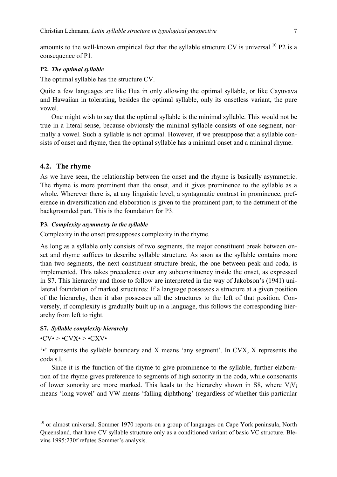amounts to the well-known empirical fact that the syllable structure CV is universal.<sup>10</sup> P2 is a consequence of P1.

#### **P2.** *The optimal syllable*

The optimal syllable has the structure CV.

Quite a few languages are like Hua in only allowing the optimal syllable, or like Cayuvava and Hawaiian in tolerating, besides the optimal syllable, only its onsetless variant, the pure vowel.

One might wish to say that the optimal syllable is the minimal syllable. This would not be true in a literal sense, because obviously the minimal syllable consists of one segment, normally a vowel. Such a syllable is not optimal. However, if we presuppose that a syllable consists of onset and rhyme, then the optimal syllable has a minimal onset and a minimal rhyme.

## **4.2. The rhyme**

As we have seen, the relationship between the onset and the rhyme is basically asymmetric. The rhyme is more prominent than the onset, and it gives prominence to the syllable as a whole. Wherever there is, at any linguistic level, a syntagmatic contrast in prominence, preference in diversification and elaboration is given to the prominent part, to the detriment of the backgrounded part. This is the foundation for P3.

## **P3.** *Complexity asymmetry in the syllable*

Complexity in the onset presupposes complexity in the rhyme.

As long as a syllable only consists of two segments, the major constituent break between onset and rhyme suffices to describe syllable structure. As soon as the syllable contains more than two segments, the next constituent structure break, the one between peak and coda, is implemented. This takes precedence over any subconstituency inside the onset, as expressed in S7. This hierarchy and those to follow are interpreted in the way of Jakobson's (1941) unilateral foundation of marked structures: If a language possesses a structure at a given position of the hierarchy, then it also possesses all the structures to the left of that position. Conversely, if complexity is gradually built up in a language, this follows the corresponding hierarchy from left to right.

## **S7.** *Syllable complexity hierarchy*

## $\bullet$ CV $\bullet > \bullet$ CVX $\bullet > \bullet$ CXV $\bullet$

 $\overline{a}$ 

'•' represents the syllable boundary and X means 'any segment'. In CVX, X represents the coda s.l.

Since it is the function of the rhyme to give prominence to the syllable, further elaboration of the rhyme gives preference to segments of high sonority in the coda, while consonants of lower sonority are more marked. This leads to the hierarchy shown in S8, where  $V_iV_i$ means 'long vowel' and VW means 'falling diphthong' (regardless of whether this particular

<sup>&</sup>lt;sup>10</sup> or almost universal. Sommer 1970 reports on a group of languages on Cape York peninsula, North Queensland, that have CV syllable structure only as a conditioned variant of basic VC structure. Blevins 1995:230f refutes Sommer's analysis.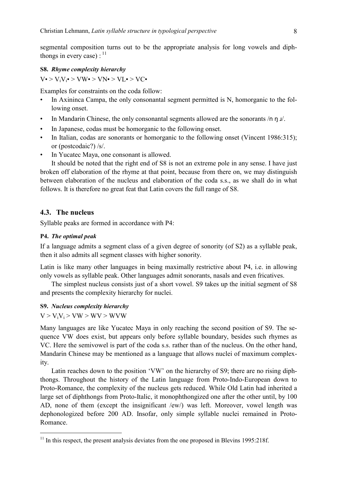segmental composition turns out to be the appropriate analysis for long vowels and diphthongs in every case) :  $^{11}$ 

#### **S8.** *Rhyme complexity hierarchy*

# $V\bullet > V_iV_i\bullet > VW\bullet > VN\bullet > VL\bullet > VC\bullet$

Examples for constraints on the coda follow:

- In Axininca Campa, the only consonantal segment permitted is N, homorganic to the following onset.
- $\cdot$  In Mandarin Chinese, the only consonantal segments allowed are the sonorants /n  $\eta$  J/.
- In Japanese, codas must be homorganic to the following onset.
- In Italian, codas are sonorants or homorganic to the following onset (Vincent 1986:315); or (postcodaic?) /s/.
- In Yucatec Maya, one consonant is allowed.

It should be noted that the right end of S8 is not an extreme pole in any sense. I have just broken off elaboration of the rhyme at that point, because from there on, we may distinguish between elaboration of the nucleus and elaboration of the coda s.s., as we shall do in what follows. It is therefore no great feat that Latin covers the full range of S8.

## **4.3. The nucleus**

Syllable peaks are formed in accordance with P4:

#### **P4.** *The optimal peak*

If a language admits a segment class of a given degree of sonority (of S2) as a syllable peak, then it also admits all segment classes with higher sonority.

Latin is like many other languages in being maximally restrictive about P4, i.e. in allowing only vowels as syllable peak. Other languages admit sonorants, nasals and even fricatives.

The simplest nucleus consists just of a short vowel. S9 takes up the initial segment of S8 and presents the complexity hierarchy for nuclei.

#### **S9.** *Nucleus complexity hierarchy*

## $V > V_iV_i > VW > WV > WW$

 $\overline{a}$ 

Many languages are like Yucatec Maya in only reaching the second position of S9. The sequence VW does exist, but appears only before syllable boundary, besides such rhymes as VC. Here the semivowel is part of the coda s.s. rather than of the nucleus. On the other hand, Mandarin Chinese may be mentioned as a language that allows nuclei of maximum complexity.

Latin reaches down to the position 'VW' on the hierarchy of S9; there are no rising diphthongs. Throughout the history of the Latin language from Proto-Indo-European down to Proto-Romance, the complexity of the nucleus gets reduced. While Old Latin had inherited a large set of diphthongs from Proto-Italic, it monophthongized one after the other until, by 100 AD, none of them (except the insignificant /ew/) was left. Moreover, vowel length was dephonologized before 200 AD. Insofar, only simple syllable nuclei remained in Proto-Romance.

 $11$  In this respect, the present analysis deviates from the one proposed in Blevins 1995:218f.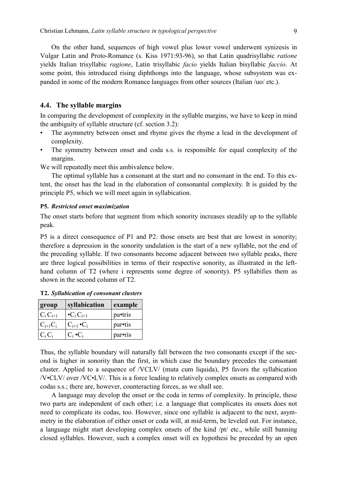On the other hand, sequences of high vowel plus lower vowel underwent synizesis in Vulgar Latin and Proto-Romance (s. Kiss 1971:93-96), so that Latin quadrisyllabic *ratione* yields Italian trisyllabic *ragione*, Latin trisyllabic *facio* yields Italian bisyllabic *faccio*. At some point, this introduced rising diphthongs into the language, whose subsystem was expanded in some of the modern Romance languages from other sources (Italian /uo/ etc.).

#### **4.4. The syllable margins**

In comparing the development of complexity in the syllable margins, we have to keep in mind the ambiguity of syllable structure (cf. section 3.2):

- The asymmetry between onset and rhyme gives the rhyme a lead in the development of complexity.
- The symmetry between onset and coda s.s. is responsible for equal complexity of the margins.

We will repeatedly meet this ambivalence below.

The optimal syllable has a consonant at the start and no consonant in the end. To this extent, the onset has the lead in the elaboration of consonantal complexity. It is guided by the principle P5, which we will meet again in syllabication.

#### **P5.** *Restricted onset maximization*

The onset starts before that segment from which sonority increases steadily up to the syllable peak.

P5 is a direct consequence of P1 and P2: those onsets are best that are lowest in sonority; therefore a depression in the sonority undulation is the start of a new syllable, not the end of the preceding syllable. If two consonants become adjacent between two syllable peaks, there are three logical possibilities in terms of their respective sonority, as illustrated in the lefthand column of T2 (where i represents some degree of sonority). P5 syllabifies them as shown in the second column of T2.

| group         | syllabication         | example |
|---------------|-----------------------|---------|
| $C_i C_{i+1}$ | $\bullet C_i C_{i+1}$ | pa•tris |
| $C_{i+1}C_i$  | $C_{i+1}$ $\cdot C_i$ | par•tis |
| $C_i C_i$     | $C_i \cdot C_i$       | par•ris |

**T2.** *Syllabication of consonant clusters* 

Thus, the syllable boundary will naturally fall between the two consonants except if the second is higher in sonority than the first, in which case the boundary precedes the consonant cluster. Applied to a sequence of /VCLV/ (muta cum liquida), P5 favors the syllabication /V•CLV/ over /VC•LV/. This is a force leading to relatively complex onsets as compared with codas s.s.; there are, however, counteracting forces, as we shall see.

A language may develop the onset or the coda in terms of complexity. In principle, these two parts are independent of each other; i.e. a language that complicates its onsets does not need to complicate its codas, too. However, since one syllable is adjacent to the next, asymmetry in the elaboration of either onset or coda will, at mid-term, be leveled out. For instance, a language might start developing complex onsets of the kind /pt/ etc., while still banning closed syllables. However, such a complex onset will ex hypothesi be preceded by an open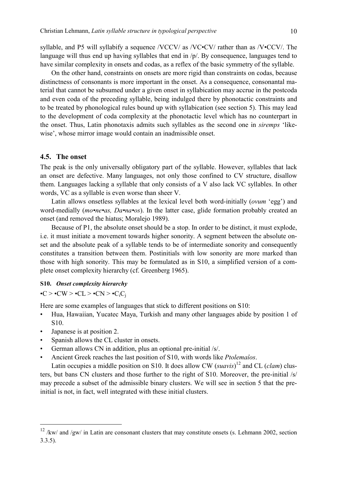syllable, and P5 will syllabify a sequence /VCCV/ as /VC•CV/ rather than as /V•CCV/. The language will thus end up having syllables that end in /p/. By consequence, languages tend to have similar complexity in onsets and codas, as a reflex of the basic symmetry of the syllable.

On the other hand, constraints on onsets are more rigid than constraints on codas, because distinctness of consonants is more important in the onset. As a consequence, consonantal material that cannot be subsumed under a given onset in syllabication may accrue in the postcoda and even coda of the preceding syllable, being indulged there by phonotactic constraints and to be treated by phonological rules bound up with syllabication (see section 5). This may lead to the development of coda complexity at the phonotactic level which has no counterpart in the onset. Thus, Latin phonotaxis admits such syllables as the second one in *siremps* 'likewise', whose mirror image would contain an inadmissible onset.

#### **4.5. The onset**

The peak is the only universally obligatory part of the syllable. However, syllables that lack an onset are defective. Many languages, not only those confined to CV structure, disallow them. Languages lacking a syllable that only consists of a V also lack VC syllables. In other words, VC as a syllable is even worse than sheer V.

Latin allows onsetless syllables at the lexical level both word-initially (*ovum* 'egg') and word-medially (*mo•ne•as, Da•na•os*). In the latter case, glide formation probably created an onset (and removed the hiatus; Moralejo 1989).

Because of P1, the absolute onset should be a stop. In order to be distinct, it must explode, i.e. it must initiate a movement towards higher sonority. A segment between the absolute onset and the absolute peak of a syllable tends to be of intermediate sonority and consequently constitutes a transition between them. Postinitials with low sonority are more marked than those with high sonority. This may be formulated as in S10, a simplified version of a complete onset complexity hierarchy (cf. Greenberg 1965).

#### **S10.** *Onset complexity hierarchy*

 $\bullet C > \bullet CW > \bullet CL > \bullet CN > \bullet C_iC_i$ 

Here are some examples of languages that stick to different positions on S10:

- Hua, Hawaiian, Yucatec Maya, Turkish and many other languages abide by position 1 of S10.
- Japanese is at position 2.

 $\overline{a}$ 

- Spanish allows the CL cluster in onsets.
- German allows CN in addition, plus an optional pre-initial /s/.
- Ancient Greek reaches the last position of S10, with words like *Ptolemaîos*.

Latin occupies a middle position on S10. It does allow CW (*suavis*) 12 and CL (*clam*) clusters, but bans CN clusters and those further to the right of S10. Moreover, the pre-initial /s/ may precede a subset of the admissible binary clusters. We will see in section 5 that the preinitial is not, in fact, well integrated with these initial clusters.

 $12$  /kw/ and /gw/ in Latin are consonant clusters that may constitute onsets (s. Lehmann 2002, section 3.3.5).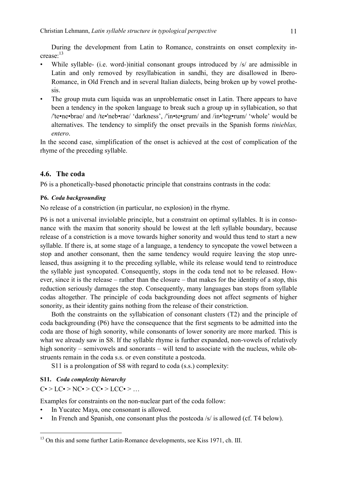During the development from Latin to Romance, constraints on onset complexity increase:<sup>13</sup>

- While syllable- (i.e. word-)initial consonant groups introduced by  $\frac{s}{s}$  are admissible in Latin and only removed by resyllabication in sandhi, they are disallowed in Ibero-Romance, in Old French and in several Italian dialects, being broken up by vowel prothesis.
- The group muta cum liquida was an unproblematic onset in Latin. There appears to have been a tendency in the spoken language to break such a group up in syllabication, so that /'te•ne•brae/ and /te•'neb•rae/ 'darkness', /'in•te•grum/ and /in•'teg•rum/ 'whole' would be alternatives. The tendency to simplify the onset prevails in the Spanish forms *tinieblas, entero*.

In the second case, simplification of the onset is achieved at the cost of complication of the rhyme of the preceding syllable.

# **4.6. The coda**

P6 is a phonetically-based phonotactic principle that constrains contrasts in the coda:

## **P6.** *Coda backgrounding*

No release of a constriction (in particular, no explosion) in the rhyme.

P6 is not a universal inviolable principle, but a constraint on optimal syllables. It is in consonance with the maxim that sonority should be lowest at the left syllable boundary, because release of a constriction is a move towards higher sonority and would thus tend to start a new syllable. If there is, at some stage of a language, a tendency to syncopate the vowel between a stop and another consonant, then the same tendency would require leaving the stop unreleased, thus assigning it to the preceding syllable, while its release would tend to reintroduce the syllable just syncopated. Consequently, stops in the coda tend not to be released. However, since it is the release – rather than the closure – that makes for the identity of a stop, this reduction seriously damages the stop. Consequently, many languages ban stops from syllable codas altogether. The principle of coda backgrounding does not affect segments of higher sonority, as their identity gains nothing from the release of their constriction.

Both the constraints on the syllabication of consonant clusters (T2) and the principle of coda backgrounding (P6) have the consequence that the first segments to be admitted into the coda are those of high sonority, while consonants of lower sonority are more marked. This is what we already saw in S8. If the syllable rhyme is further expanded, non-vowels of relatively high sonority – semivowels and sonorants – will tend to associate with the nucleus, while obstruents remain in the coda s.s. or even constitute a postcoda.

S11 is a prolongation of S8 with regard to coda (s.s.) complexity:

## **S11.** *Coda complexity hierarchy*

 $\overline{a}$ 

 $C \rightarrow L C \rightarrow NC \rightarrow CC \rightarrow LC C \rightarrow$ 

Examples for constraints on the non-nuclear part of the coda follow:

- In Yucatec Maya, one consonant is allowed.
- In French and Spanish, one consonant plus the postcoda /s/ is allowed (cf. T4 below).

<sup>&</sup>lt;sup>13</sup> On this and some further Latin-Romance developments, see Kiss 1971, ch. III.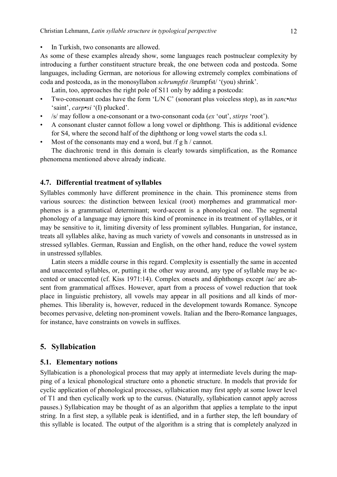In Turkish, two consonants are allowed.

As some of these examples already show, some languages reach postnuclear complexity by introducing a further constituent structure break, the one between coda and postcoda. Some languages, including German, are notorious for allowing extremely complex combinations of coda and postcoda, as in the monosyllabon *schrumpfst* /šrumpfst/ '(you) shrink'.

Latin, too, approaches the right pole of S11 only by adding a postcoda:

- Two-consonant codas have the form 'L/N C' (sonorant plus voiceless stop), as in *sanc*•*tus* 'saint', *carp*•*si* '(I) plucked'.
- /s/ may follow a one-consonant or a two-consonant coda (*ex* 'out', *stirps* 'root').
- A consonant cluster cannot follow a long vowel or diphthong. This is additional evidence for S4, where the second half of the diphthong or long vowel starts the coda s.l.
- Most of the consonants may end a word, but  $f$  g h  $/$  cannot.

The diachronic trend in this domain is clearly towards simplification, as the Romance phenomena mentioned above already indicate.

## **4.7. Differential treatment of syllables**

Syllables commonly have different prominence in the chain. This prominence stems from various sources: the distinction between lexical (root) morphemes and grammatical morphemes is a grammatical determinant; word-accent is a phonological one. The segmental phonology of a language may ignore this kind of prominence in its treatment of syllables, or it may be sensitive to it, limiting diversity of less prominent syllables. Hungarian, for instance, treats all syllables alike, having as much variety of vowels and consonants in unstressed as in stressed syllables. German, Russian and English, on the other hand, reduce the vowel system in unstressed syllables.

Latin steers a middle course in this regard. Complexity is essentially the same in accented and unaccented syllables, or, putting it the other way around, any type of syllable may be accented or unaccented (cf. Kiss 1971:14). Complex onsets and diphthongs except /ae/ are absent from grammatical affixes. However, apart from a process of vowel reduction that took place in linguistic prehistory, all vowels may appear in all positions and all kinds of morphemes. This liberality is, however, reduced in the development towards Romance. Syncope becomes pervasive, deleting non-prominent vowels. Italian and the Ibero-Romance languages, for instance, have constraints on vowels in suffixes.

## **5. Syllabication**

## **5.1. Elementary notions**

Syllabication is a phonological process that may apply at intermediate levels during the mapping of a lexical phonological structure onto a phonetic structure. In models that provide for cyclic application of phonological processes, syllabication may first apply at some lower level of T1 and then cyclically work up to the cursus. (Naturally, syllabication cannot apply across pauses.) Syllabication may be thought of as an algorithm that applies a template to the input string. In a first step, a syllable peak is identified, and in a further step, the left boundary of this syllable is located. The output of the algorithm is a string that is completely analyzed in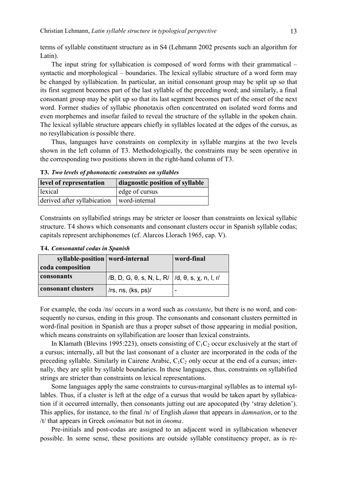terms of syllable constituent structure as in S4 (Lehmann 2002 presents such an algorithm for Latin).

The input string for syllabication is composed of word forms with their grammatical – syntactic and morphological – boundaries. The lexical syllabic structure of a word form may be changed by syllabication. In particular, an initial consonant group may be split up so that its first segment becomes part of the last syllable of the preceding word; and similarly, a final consonant group may be split up so that its last segment becomes part of the onset of the next word. Former studies of syllabic phonotaxis often concentrated on isolated word forms and even morphemes and insofar failed to reveal the structure of the syllable in the spoken chain. The lexical syllable structure appears chiefly in syllables located at the edges of the cursus, as no resyllabication is possible there.

Thus, languages have constraints on complexity in syllable margins at the two levels shown in the left column of T3. Methodologically, the constraints may be seen operative in the corresponding two positions shown in the right-hand column of T3.

**T3.** *Two levels of phonotactic constraints on syllables* 

| level of representation     | diagnostic position of syllable |
|-----------------------------|---------------------------------|
| lexical                     | edge of cursus                  |
| derived after syllabication | word-internal                   |

Constraints on syllabified strings may be stricter or looser than constraints on lexical syllabic structure. T4 shows which consonants and consonant clusters occur in Spanish syllable codas; capitals represent archiphonemes (cf. Alarcos Llorach 1965, cap. V).

| syllable-position   word-internal<br>coda composition |                                                 | word-final |
|-------------------------------------------------------|-------------------------------------------------|------------|
| consonants                                            | /B, D, G, θ, s, N, L, R/  /d, θ, s, χ, n, l, r/ |            |
| consonant clusters                                    | /rs, ns, $(ks, ps)$ /                           |            |

**T4.** *Consonantal codas in Spanish* 

For example, the coda /ns/ occurs in a word such as *constante*, but there is no word, and consequently no cursus, ending in this group. The consonants and consonant clusters permitted in word-final position in Spanish are thus a proper subset of those appearing in medial position, which means constraints on syllabification are looser than lexical constraints.

In Klamath (Blevins 1995:223), onsets consisting of  $C_1C_2$  occur exclusively at the start of a cursus; internally, all but the last consonant of a cluster are incorporated in the coda of the preceding syllable. Similarly in Cairene Arabic,  $C_1C_2$  only occur at the end of a cursus; internally, they are split by syllable boundaries. In these languages, thus, constraints on syllabified strings are stricter than constraints on lexical representations.

Some languages apply the same constraints to cursus-marginal syllables as to internal syllables. Thus, if a cluster is left at the edge of a cursus that would be taken apart by syllabication if it occurred internally, then consonants jutting out are apocopated (by 'stray deletion'). This applies, for instance, to the final /n/ of English *damn* that appears in *damnation*, or to the /t/ that appears in Greek *onómatos* but not in *ónoma*.

Pre-initials and post-codas are assigned to an adjacent word in syllabication whenever possible. In some sense, these positions are outside syllable constituency proper, as is re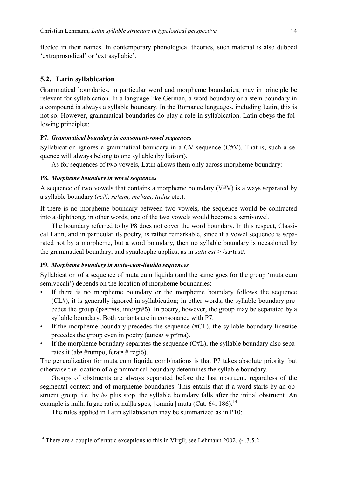flected in their names. In contemporary phonological theories, such material is also dubbed 'extraprosodical' or 'extrasyllabic'.

## **5.2. Latin syllabication**

Grammatical boundaries, in particular word and morpheme boundaries, may in principle be relevant for syllabication. In a language like German, a word boundary or a stem boundary in a compound is always a syllable boundary. In the Romance languages, including Latin, this is not so. However, grammatical boundaries do play a role in syllabication. Latin obeys the following principles:

#### **P7.** *Grammatical boundary in consonant-vowel sequences*

Syllabication ignores a grammatical boundary in a CV sequence (C#V). That is, such a sequence will always belong to one syllable (by liaison).

As for sequences of two vowels, Latin allows them only across morpheme boundary:

## **P8.** *Morpheme boundary in vowel sequences*

A sequence of two vowels that contains a morpheme boundary  $(V\#V)$  is always separated by a syllable boundary (*re#i, re#um, me#am, tu#us* etc.).

If there is no morpheme boundary between two vowels, the sequence would be contracted into a diphthong, in other words, one of the two vowels would become a semivowel.

The boundary referred to by P8 does not cover the word boundary. In this respect, Classical Latin, and in particular its poetry, is rather remarkable, since if a vowel sequence is separated not by a morpheme, but a word boundary, then no syllable boundary is occasioned by the grammatical boundary, and synaloephe applies, as in *sata est* > /sa•tāst/.

#### **P9.** *Morpheme boundary in muta-cum-liquida sequences*

 $\overline{a}$ 

Syllabication of a sequence of muta cum liquida (and the same goes for the group 'muta cum semivocali') depends on the location of morpheme boundaries:

- If there is no morpheme boundary or the morpheme boundary follows the sequence (CL#), it is generally ignored in syllabication; in other words, the syllable boundary precedes the group (pa•tr#is, inte•gr#ō). In poetry, however, the group may be separated by a syllable boundary. Both variants are in consonance with P7.
- If the morpheme boundary precedes the sequence (#CL), the syllable boundary likewise precedes the group even in poetry (aurea• # prīma).
- If the morpheme boundary separates the sequence  $(C#L)$ , the syllable boundary also separates it (ab• #rumpo, ferat• # regiō).

The generalization for muta cum liquida combinations is that P7 takes absolute priority; but otherwise the location of a grammatical boundary determines the syllable boundary.

Groups of obstruents are always separated before the last obstruent, regardless of the segmental context and of morpheme boundaries. This entails that if a word starts by an obstruent group, i.e. by /s/ plus stop, the syllable boundary falls after the initial obstruent. An example is nulla fu|gae rati|o, nul|la spes, | omnia | muta (Cat. 64, 186).<sup>14</sup>

The rules applied in Latin syllabication may be summarized as in P10:

<sup>&</sup>lt;sup>14</sup> There are a couple of erratic exceptions to this in Virgil; see Lehmann 2002, §4.3.5.2.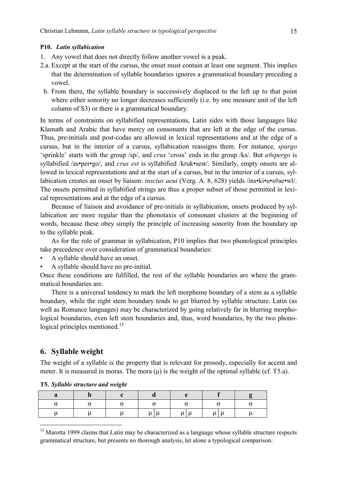#### **P10.** *Latin syllabication*

- 1. Any vowel that does not directly follow another vowel is a peak.
- 2.a. Except at the start of the cursus, the onset must contain at least one segment. This implies that the determination of syllable boundaries ignores a grammatical boundary preceding a vowel.
- b. From there, the syllable boundary is successively displaced to the left up to that point where either sonority no longer decreases sufficiently (i.e. by one measure unit of the left column of S3) or there is a grammatical boundary.

In terms of constraints on syllabified representations, Latin sides with those languages like Klamath and Arabic that have mercy on consonants that are left at the edge of the cursus. Thus, pre-initials and post-codas are allowed in lexical representations and at the edge of a cursus, but in the interior of a cursus, syllabication reassigns them. For instance, *spargo* 'sprinkle' starts with the group /sp/, and *crux* 'cross' ends in the group /ks/. But *a#spergo* is syllabified /as•per•go/, and *crux est* is syllabified /kruk•sest/. Similarly, empty onsets are allowed in lexical representations and at the start of a cursus, but in the interior of a cursus, syllabication creates an onset by liaison: *inscius aeui* (Verg. A. 8, 628) yields /ins•ki•u•s#ae•wī/. The onsets permitted in syllabified strings are thus a proper subset of those permitted in lexical representations and at the edge of a cursus.

Because of liaison and avoidance of pre-initials in syllabication, onsets produced by syllabication are more regular than the phonotaxis of consonant clusters at the beginning of words, because these obey simply the principle of increasing sonority from the boundary up to the syllable peak.

As for the role of grammar in syllabication, P10 implies that two phonological principles take precedence over consideration of grammatical boundaries:

- A syllable should have an onset.
- A syllable should have no pre-initial.

Once these conditions are fulfilled, the rest of the syllable boundaries are where the grammatical boundaries are.

There is a universal tendency to mark the left morpheme boundary of a stem as a syllable boundary, while the right stem boundary tends to get blurred by syllable structure. Latin (as well as Romance languages) may be characterized by going relatively far in blurring morphological boundaries, even left stem boundaries and, thus, word boundaries, by the two phonological principles mentioned.<sup>15</sup>

# **6. Syllable weight**

 $\overline{a}$ 

The weight of a syllable is the property that is relevant for prosody, especially for accent and meter. It is measured in moras. The mora  $(\mu)$  is the weight of the optimal syllable (cf. T5.a).

|  | μ<br>u | μ.<br>м. | w |  |
|--|--------|----------|---|--|

**T5.** *Syllable structure and weight* 

<sup>&</sup>lt;sup>15</sup> Marotta 1999 claims that Latin may be characterized as a language whose syllable structure respects grammatical structure, but presents no thorough analysis, let alone a typological comparison.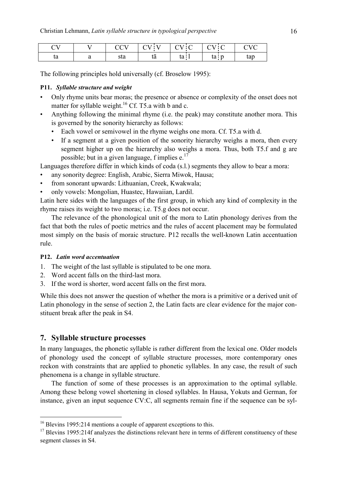| $\sim$<br>◡ |   | $\sim$ $\sim$ $\sim$ $\sim$<br>UV 1 | ◡         | $\sim$ $\sim$<br>$\sim$<br>◡<br>◡ | $\sim$<br>$\sim$<br>◡<br>◡ | $\sim$ $\sim$<br>U V U |
|-------------|---|-------------------------------------|-----------|-----------------------------------|----------------------------|------------------------|
| tσ<br>ia    | u | sta                                 | . –<br>ta | ta                                | ta<br>r<br>- P             | tap                    |

The following principles hold universally (cf. Broselow 1995):

#### **P11.** *Syllable structure and weight*

- Only rhyme units bear moras; the presence or absence or complexity of the onset does not matter for syllable weight.<sup>16</sup> Cf. T5.a with b and c.
- Anything following the minimal rhyme (i.e. the peak) may constitute another mora. This is governed by the sonority hierarchy as follows:
	- Each vowel or semivowel in the rhyme weighs one mora. Cf. T5.a with d.
	- If a segment at a given position of the sonority hierarchy weighs a mora, then every segment higher up on the hierarchy also weighs a mora. Thus, both T5.f and g are possible; but in a given language, f implies  $e^{17}$ .

Languages therefore differ in which kinds of coda (s.l.) segments they allow to bear a mora:

- any sonority degree: English, Arabic, Sierra Miwok, Hausa;
- from sonorant upwards: Lithuanian, Creek, Kwakwala;
- only vowels: Mongolian, Huastec, Hawaiian, Lardil.

Latin here sides with the languages of the first group, in which any kind of complexity in the rhyme raises its weight to two moras; i.e. T5.g does not occur.

The relevance of the phonological unit of the mora to Latin phonology derives from the fact that both the rules of poetic metrics and the rules of accent placement may be formulated most simply on the basis of moraic structure. P12 recalls the well-known Latin accentuation rule.

## **P12.** *Latin word accentuation*

- 1. The weight of the last syllable is stipulated to be one mora.
- 2. Word accent falls on the third-last mora.
- 3. If the word is shorter, word accent falls on the first mora.

While this does not answer the question of whether the mora is a primitive or a derived unit of Latin phonology in the sense of section 2, the Latin facts are clear evidence for the major constituent break after the peak in S4.

# **7. Syllable structure processes**

 $\overline{a}$ 

In many languages, the phonetic syllable is rather different from the lexical one. Older models of phonology used the concept of syllable structure processes, more contemporary ones reckon with constraints that are applied to phonetic syllables. In any case, the result of such phenomena is a change in syllable structure.

The function of some of these processes is an approximation to the optimal syllable. Among these belong vowel shortening in closed syllables. In Hausa, Yokuts and German, for instance, given an input sequence CV:C, all segments remain fine if the sequence can be syl-

<sup>&</sup>lt;sup>16</sup> Blevins 1995:214 mentions a couple of apparent exceptions to this.

<sup>&</sup>lt;sup>17</sup> Blevins 1995:214f analyzes the distinctions relevant here in terms of different constituency of these segment classes in S4.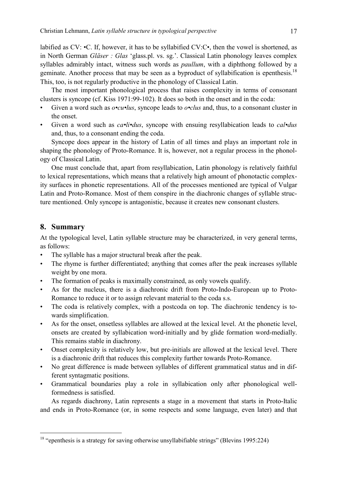labified as CV: •C. If, however, it has to be syllabified CV:C•, then the vowel is shortened, as in North German *Gläser : Glas* 'glass.pl. vs. sg.'. Classical Latin phonology leaves complex syllables admirably intact, witness such words as *paullum*, with a diphthong followed by a geminate. Another process that may be seen as a byproduct of syllabification is epenthesis.<sup>18</sup> This, too, is not regularly productive in the phonology of Classical Latin.

The most important phonological process that raises complexity in terms of consonant clusters is syncope (cf. Kiss 1971:99-102). It does so both in the onset and in the coda:

- Given a word such as *o•cu•lus*, syncope leads to *o•clus* and, thus, to a consonant cluster in the onset.
- Given a word such as *ca•li•dus*, syncope with ensuing resyllabication leads to *cal•dus* and, thus, to a consonant ending the coda.

Syncope does appear in the history of Latin of all times and plays an important role in shaping the phonology of Proto-Romance. It is, however, not a regular process in the phonology of Classical Latin.

One must conclude that, apart from resyllabication, Latin phonology is relatively faithful to lexical representations, which means that a relatively high amount of phonotactic complexity surfaces in phonetic representations. All of the processes mentioned are typical of Vulgar Latin and Proto-Romance. Most of them conspire in the diachronic changes of syllable structure mentioned. Only syncope is antagonistic, because it creates new consonant clusters.

# **8. Summary**

 $\overline{a}$ 

At the typological level, Latin syllable structure may be characterized, in very general terms, as follows:

- The syllable has a major structural break after the peak.
- The rhyme is further differentiated; anything that comes after the peak increases syllable weight by one mora.
- The formation of peaks is maximally constrained, as only vowels qualify.
- As for the nucleus, there is a diachronic drift from Proto-Indo-European up to Proto-Romance to reduce it or to assign relevant material to the coda s.s.
- The coda is relatively complex, with a postcoda on top. The diachronic tendency is towards simplification.
- As for the onset, onsetless syllables are allowed at the lexical level. At the phonetic level, onsets are created by syllabication word-initially and by glide formation word-medially. This remains stable in diachrony.
- Onset complexity is relatively low, but pre-initials are allowed at the lexical level. There is a diachronic drift that reduces this complexity further towards Proto-Romance.
- No great difference is made between syllables of different grammatical status and in different syntagmatic positions.
- Grammatical boundaries play a role in syllabication only after phonological wellformedness is satisfied.

As regards diachrony, Latin represents a stage in a movement that starts in Proto-Italic and ends in Proto-Romance (or, in some respects and some language, even later) and that

<sup>&</sup>lt;sup>18</sup> "epenthesis is a strategy for saving otherwise unsyllabifiable strings" (Blevins 1995:224)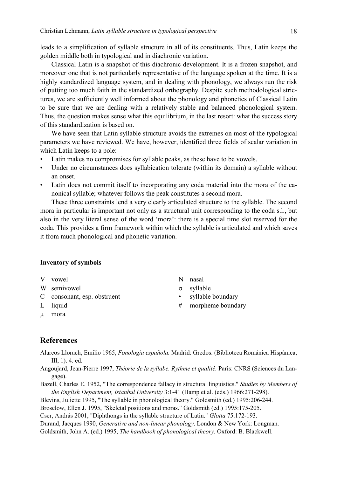leads to a simplification of syllable structure in all of its constituents. Thus, Latin keeps the golden middle both in typological and in diachronic variation.

Classical Latin is a snapshot of this diachronic development. It is a frozen snapshot, and moreover one that is not particularly representative of the language spoken at the time. It is a highly standardized language system, and in dealing with phonology, we always run the risk of putting too much faith in the standardized orthography. Despite such methodological strictures, we are sufficiently well informed about the phonology and phonetics of Classical Latin to be sure that we are dealing with a relatively stable and balanced phonological system. Thus, the question makes sense what this equilibrium, in the last resort: what the success story of this standardization is based on.

We have seen that Latin syllable structure avoids the extremes on most of the typological parameters we have reviewed. We have, however, identified three fields of scalar variation in which Latin keeps to a pole:

- Latin makes no compromises for syllable peaks, as these have to be vowels.
- Under no circumstances does syllabication tolerate (within its domain) a syllable without an onset.
- Latin does not commit itself to incorporating any coda material into the mora of the canonical syllable; whatever follows the peak constitutes a second mora.

These three constraints lend a very clearly articulated structure to the syllable. The second mora in particular is important not only as a structural unit corresponding to the coda s.l., but also in the very literal sense of the word 'mora': there is a special time slot reserved for the coda. This provides a firm framework within which the syllable is articulated and which saves it from much phonological and phonetic variation.

#### **Inventory of symbols**

- V vowel
- W semivowel
- C consonant, esp. obstruent
- L liquid
- µ mora
- N nasal
- σ syllable
- syllable boundary
- # morpheme boundary

# **References**

Alarcos Llorach, Emilio 1965, *Fonología española.* Madrid: Gredos. (Biblioteca Románica Hispánica, III, 1). 4. ed.

Angoujard, Jean-Pierre 1997, *Théorie de la syllabe. Rythme et qualité.* Paris: CNRS (Sciences du Langage).

Bazell, Charles E. 1952, "The correspondence fallacy in structural linguistics." *Studies by Members of the English Department, Istanbul University* 3:1-41 (Hamp et al. (eds.) 1966:271-298).

Blevins, Juliette 1995, "The syllable in phonological theory." Goldsmith (ed.) 1995:206-244.

Broselow, Ellen J. 1995, "Skeletal positions and moras." Goldsmith (ed.) 1995:175-205.

Cser, András 2001, "Diphthongs in the syllable structure of Latin." *Glotta* 75:172-193.

Durand, Jacques 1990, *Generative and non-linear phonology*. London & New York: Longman.

Goldsmith, John A. (ed.) 1995, *The handbook of phonological theory.* Oxford: B. Blackwell.